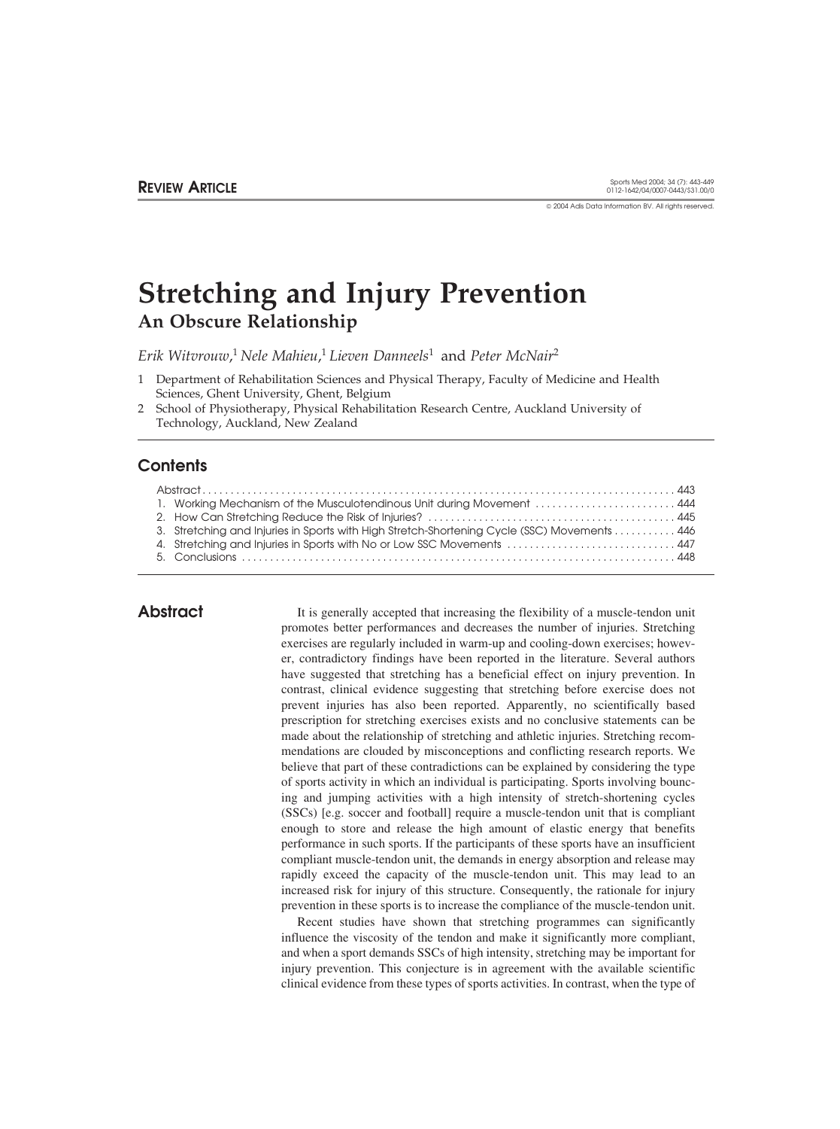2004 Adis Data Information BV. All rights reserved.

# **Stretching and Injury Prevention An Obscure Relationship**

*Erik Witvrouw*, <sup>1</sup>*Nele Mahieu*, <sup>1</sup>*Lieven Danneels*1 and *Peter McNair*<sup>2</sup>

- 1 Department of Rehabilitation Sciences and Physical Therapy, Faculty of Medicine and Health Sciences, Ghent University, Ghent, Belgium
- 2 School of Physiotherapy, Physical Rehabilitation Research Centre, Auckland University of Technology, Auckland, New Zealand

## **Contents**

| 1. Working Mechanism of the Musculotendinous Unit during Movement 444                       |  |
|---------------------------------------------------------------------------------------------|--|
|                                                                                             |  |
| 3. Stretching and Injuries in Sports with High Stretch-Shortening Cycle (SSC) Movements 446 |  |
| 4. Stretching and Injuries in Sports with No or Low SSC Movements  447                      |  |
|                                                                                             |  |

**Abstract** It is generally accepted that increasing the flexibility of a muscle-tendon unit promotes better performances and decreases the number of injuries. Stretching exercises are regularly included in warm-up and cooling-down exercises; however, contradictory findings have been reported in the literature. Several authors have suggested that stretching has a beneficial effect on injury prevention. In contrast, clinical evidence suggesting that stretching before exercise does not prevent injuries has also been reported. Apparently, no scientifically based prescription for stretching exercises exists and no conclusive statements can be made about the relationship of stretching and athletic injuries. Stretching recommendations are clouded by misconceptions and conflicting research reports. We believe that part of these contradictions can be explained by considering the type of sports activity in which an individual is participating. Sports involving bouncing and jumping activities with a high intensity of stretch-shortening cycles (SSCs) [e.g. soccer and football] require a muscle-tendon unit that is compliant enough to store and release the high amount of elastic energy that benefits performance in such sports. If the participants of these sports have an insufficient compliant muscle-tendon unit, the demands in energy absorption and release may rapidly exceed the capacity of the muscle-tendon unit. This may lead to an increased risk for injury of this structure. Consequently, the rationale for injury prevention in these sports is to increase the compliance of the muscle-tendon unit.

> Recent studies have shown that stretching programmes can significantly influence the viscosity of the tendon and make it significantly more compliant, and when a sport demands SSCs of high intensity, stretching may be important for injury prevention. This conjecture is in agreement with the available scientific clinical evidence from these types of sports activities. In contrast, when the type of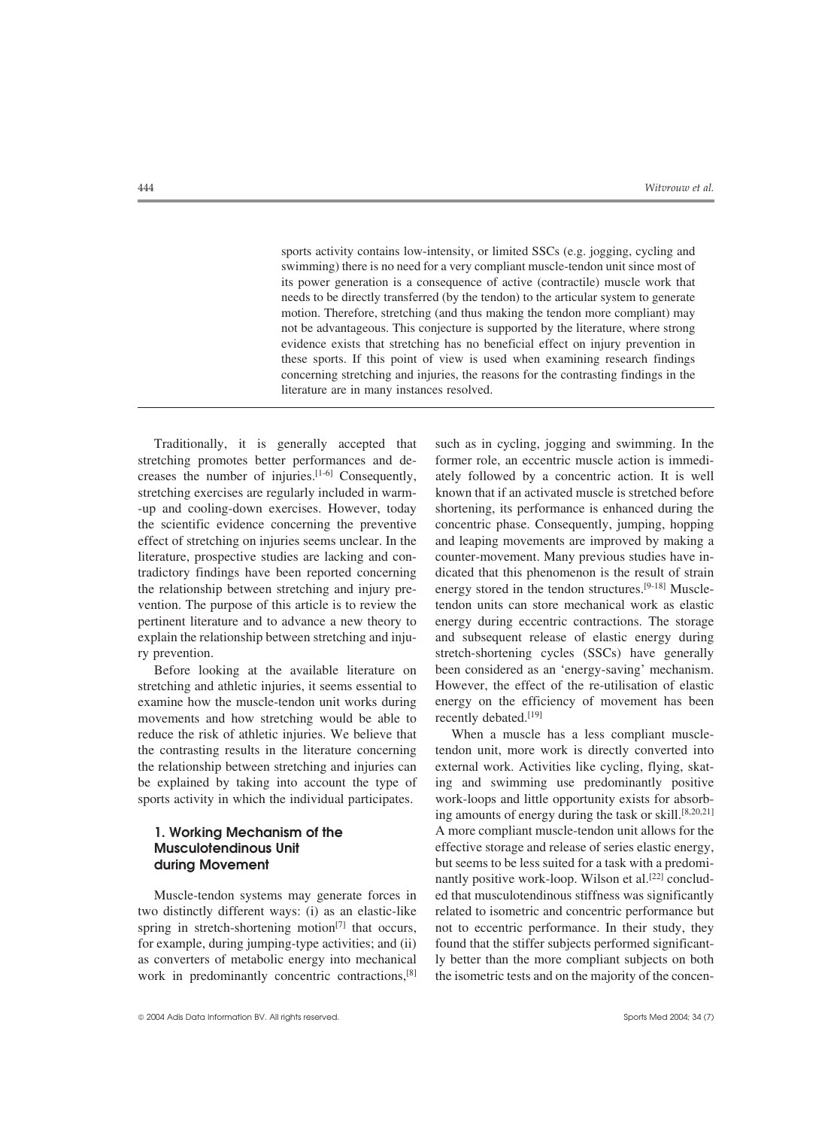sports activity contains low-intensity, or limited SSCs (e.g. jogging, cycling and swimming) there is no need for a very compliant muscle-tendon unit since most of its power generation is a consequence of active (contractile) muscle work that needs to be directly transferred (by the tendon) to the articular system to generate motion. Therefore, stretching (and thus making the tendon more compliant) may not be advantageous. This conjecture is supported by the literature, where strong evidence exists that stretching has no beneficial effect on injury prevention in these sports. If this point of view is used when examining research findings concerning stretching and injuries, the reasons for the contrasting findings in the literature are in many instances resolved.

Traditionally, it is generally accepted that such as in cycling, jogging and swimming. In the stretching promotes better performances and de- former role, an eccentric muscle action is immedicreases the number of injuries.[1-6] Consequently, ately followed by a concentric action. It is well stretching exercises are regularly included in warm- known that if an activated muscle is stretched before -up and cooling-down exercises. However, today shortening, its performance is enhanced during the the scientific evidence concerning the preventive concentric phase. Consequently, jumping, hopping effect of stretching on injuries seems unclear. In the and leaping movements are improved by making a literature, prospective studies are lacking and con- counter-movement. Many previous studies have intradictory findings have been reported concerning dicated that this phenomenon is the result of strain the relationship between stretching and injury pre- energy stored in the tendon structures.<sup>[9-18]</sup> Musclevention. The purpose of this article is to review the tendon units can store mechanical work as elastic pertinent literature and to advance a new theory to energy during eccentric contractions. The storage explain the relationship between stretching and inju- and subsequent release of elastic energy during ry prevention. Stretch-shortening cycles (SSCs) have generally

stretching and athletic injuries, it seems essential to However, the effect of the re-utilisation of elastic examine how the muscle-tendon unit works during energy on the efficiency of movement has been movements and how stretching would be able to recently debated.<sup>[19]</sup> reduce the risk of athletic injuries. We believe that When a muscle has a less compliant musclethe contrasting results in the literature concerning tendon unit, more work is directly converted into the relationship between stretching and injuries can external work. Activities like cycling, flying, skatbe explained by taking into account the type of ing and swimming use predominantly positive sports activity in which the individual participates. work-loops and little opportunity exists for absorb-

two distinctly different ways: (i) as an elastic-like related to isometric and concentric performance but spring in stretch-shortening motion<sup>[7]</sup> that occurs, not to eccentric performance. In their study, they for example, during jumping-type activities; and (ii) found that the stiffer subjects performed significantas converters of metabolic energy into mechanical ly better than the more compliant subjects on both

Before looking at the available literature on been considered as an 'energy-saving' mechanism.

ing amounts of energy during the task or skill.<sup>[8,20,21]</sup> **1. Working Mechanism of the** A more compliant muscle-tendon unit allows for the **Musculotendinous Unit** effective storage and release of series elastic energy, **during Movement** but seems to be less suited for a task with a predominantly positive work-loop. Wilson et al.<sup>[22]</sup> conclud-Muscle-tendon systems may generate forces in ed that musculotendinous stiffness was significantly work in predominantly concentric contractions, $[8]$  the isometric tests and on the majority of the concen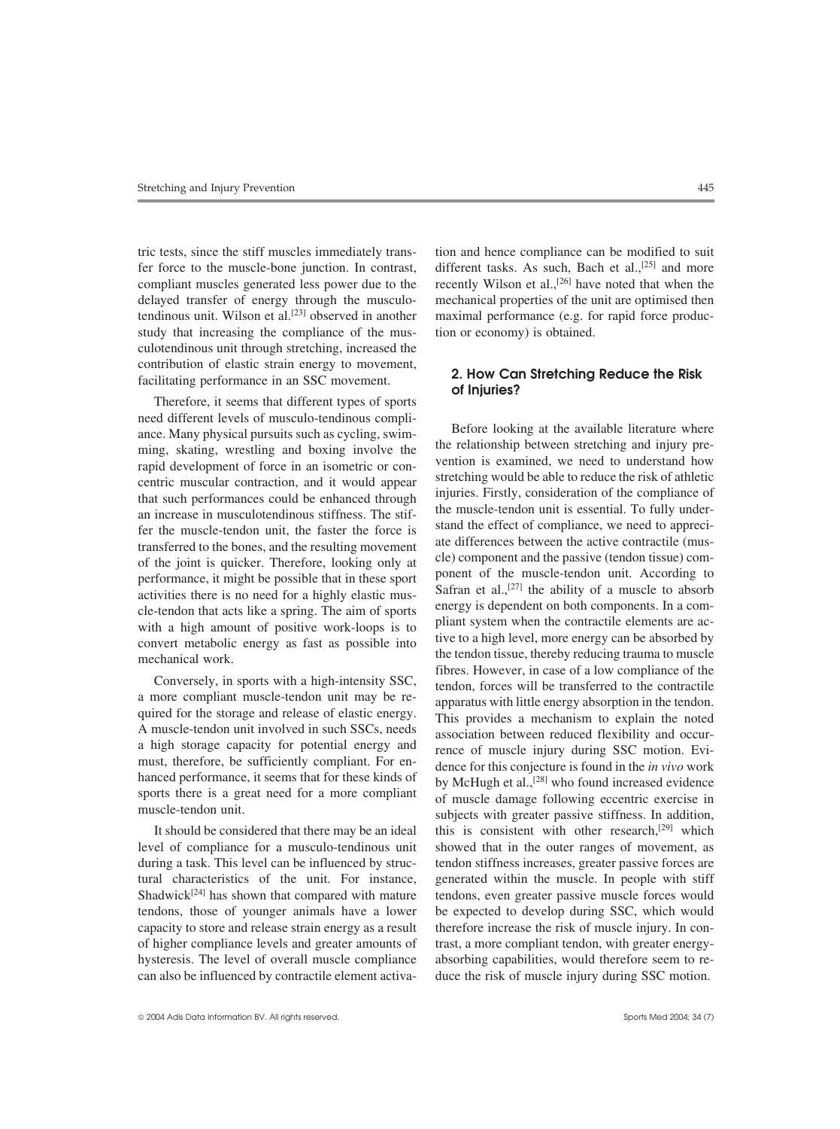compliant muscles generated less power due to the delayed transfer of energy through the musculo- mechanical properties of the unit are optimised then tendinous unit. Wilson et al.<sup>[23]</sup> observed in another maximal performance (e.g. for rapid force producstudy that increasing the compliance of the mus- tion or economy) is obtained. culotendinous unit through stretching, increased the contribution of elastic strain energy to movement,<br>
facilitating performance in an SSC movement.<br> **2. How Can Stretching Reduce the Risk**<br> **of Injuries?**<br> **of Injuries?** 

need different levels of musculo-tendinous compli-<br>ance. Many physical pursuits such as cycling, swim-<br>ming, skating, wrestling and boxing involve the<br>rapid development of force in an isometric or con-<br>centric muscular con For the muscle-tendon unit, the faster the force is<br>transferred to the bones, and the resulting movement<br>of the joint is quicker. Therefore, looking only at<br>performance, it might be possible that in these sport<br>performance

must, therefore, be sufficiently compliant. For en-<br>hanced performance, it seems that for these kinds of by McHugh et al.,<sup>[28]</sup> who found increased evidence

level of compliance for a musculo-tendinous unit showed that in the outer ranges of movement, as during a task. This level can be influenced by struc-<br>tendon stiffness increases, greater passive forces are tural characteristics of the unit. For instance, generated within the muscle. In people with stiff Shadwick<sup>[24]</sup> has shown that compared with mature tendons, even greater passive muscle forces would tendons, those of younger animals have a lower be expected to develop during SSC, which would capacity to store and release strain energy as a result therefore increase the risk of muscle injury. In conof higher compliance levels and greater amounts of trast, a more compliant tendon, with greater energyhysteresis. The level of overall muscle compliance absorbing capabilities, would therefore seem to recan also be influenced by contractile element activa- duce the risk of muscle injury during SSC motion.

tric tests, since the stiff muscles immediately trans- tion and hence compliance can be modified to suit fer force to the muscle-bone junction. In contrast, different tasks. As such, Bach et al.,<sup>[25]</sup> and more compliant muscles generated less power due to the recently Wilson et al.,<sup>[26]</sup> have noted that when the

Conversely, in sports with a high-intensity SSC,<br>a more compliant muscle-tendon unit may be re-<br>quired for the storage and release of elastic energy.<br>A muscle-tendon unit involved in such SSCs, needs<br>a high storage capacit sports there is a great need for a more compliant of muscle damage following eccentric exercise in subjects with greater passive stiffness. In addition, It should be considered that there may be an ideal this is consistent with other research, $[29]$  which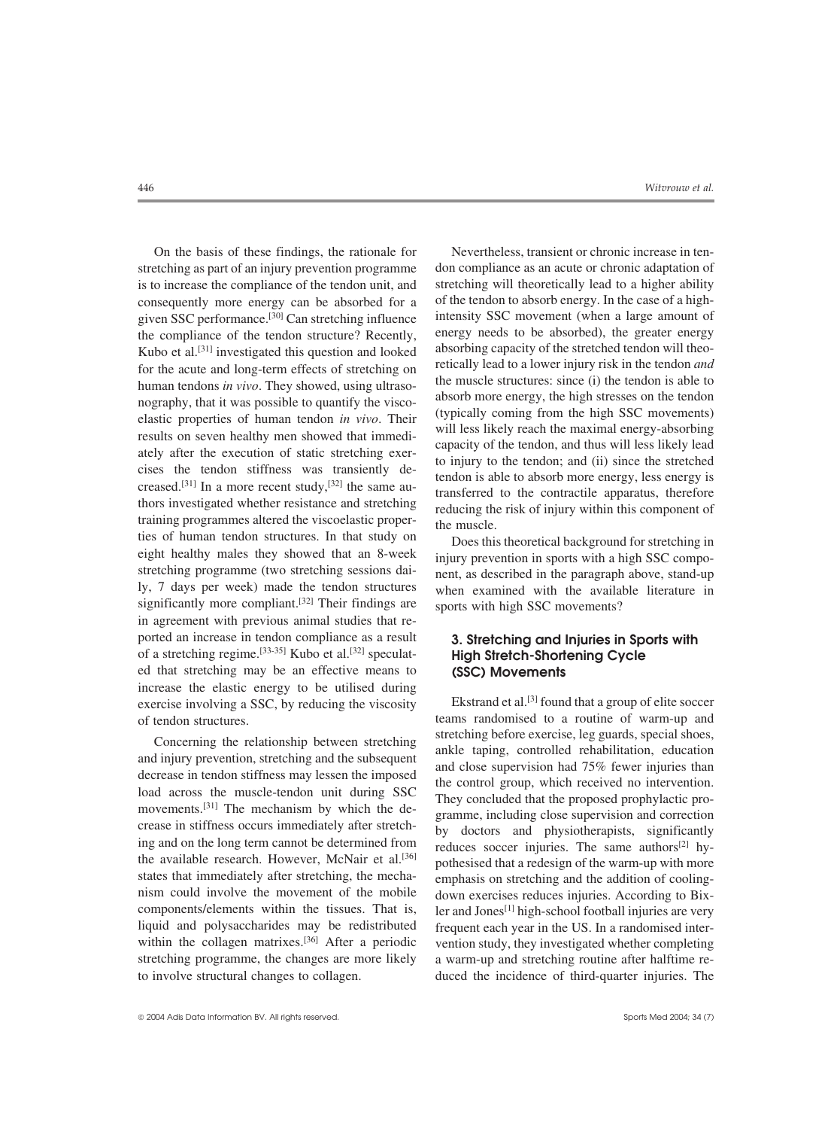stretching as part of an injury prevention programme don compliance as an acute or chronic adaptation of is to increase the compliance of the tendon unit, and stretching will theoretically lead to a higher ability consequently more energy can be absorbed for a of the tendon to absorb energy. In the case of a high-<br>given SSC performance.<sup>[30]</sup> Can stretching influence intensity SSC movement (when a large amount of given SSC performance.<sup>[30]</sup> Can stretching influence intensity SSC movement (when a large amount of the compliance of the tendon structure? Recently energy needs to be absorbed), the greater energy the compliance of the tendon structure? Recently, energy needs to be absorbed), the greater energy<br>Kubo et al.<sup>[31]</sup> investigated this question and looked absorbing capacity of the stretched tendon will theo-Kubo et al.<sup>[31]</sup> investigated this question and looked absorbing capacity of the stretched tendon will theo-<br>for the scute and long-term effects of stretching on retically lead to a lower injury risk in the tendon *and* for the acute and long-term effects of stretching on<br>human tendons in vivo. They showed, using ultraso-<br>nography, that it was possible to quantify the visco-<br>elastic properties of human tendon in vivo. Their<br>(typically com Fractive properties of natural enterity of the time will less likely reach the maximal energy-absorbing<br>ately after the execution of static stretching exer-<br>cises the tendon stiffness was transiently de-<br>creased.<sup>[31]</sup> In ties of human tendon structures. In that study on<br>
eight healthy males they showed that an 8-week<br>
injury prevention in sports with a high SSC compo-<br>
stretching programme (two stretching sessions dai-<br>
ent as described in stretching programme (two stretching sessions dai-<br>ly, 7 days per week) made the tendon structures when examined with the available literature in significantly more compliant.<sup>[32]</sup> Their findings are sports with high SSC movements? in agreement with previous animal studies that reported an increase in tendon compliance as a result **3. Stretching and Injuries in Sports with** of a stretching regime.[33-35] Kubo et al.[32] speculat- **High Stretch-Shortening Cycle** ed that stretching may be an effective means to **(SSC) Movements** increase the elastic energy to be utilised during exercise involving a SSC, by reducing the viscosity Ekstrand et al.<sup>[3]</sup> found that a group of elite soccer

On the basis of these findings, the rationale for Nevertheless, transient or chronic increase in ten-

when examined with the available literature in

of tendon structures.<br>
Concerning the relationship between structures of stretching before exercise, leg guards, special shoes, Concerning the relationship between stretching stretching before exercise, leg guards, special shoes,<br>and injury prevention, stretching and the subsequent<br>decrease in tendon stiffness may lessen the imposed<br>load across th ing and on the long term cannot be determined from<br>the available research. However, McNair et al.<sup>[36]</sup> pothesised that a redesign of the warm-up with more<br>states that immediately after stretching, the mecha-<br>mphasis on s states that immediately after stretching, the mecha-<br>nism could involve the movement of the mobile down exercises reduces injuries. According to Bixnism could involve the movement of the mobile down exercises reduces injuries. According to Bix-<br>components/elements within the tissues. That is, ler and Jones<sup>[1]</sup> high-school football injuries are very components/elements within the tissues. That is, ler and Jones<sup>[1]</sup> high-school football injuries are very liquid and polysaccharides may be redistributed frequent each vear in the US. In a randomised interfrequent each year in the US. In a randomised interwithin the collagen matrixes.<sup>[36]</sup> After a periodic vention study, they investigated whether completing stretching programme, the changes are more likely a warm-up and stretching routine after halftime reto involve structural changes to collagen. duced the incidence of third-quarter injuries. The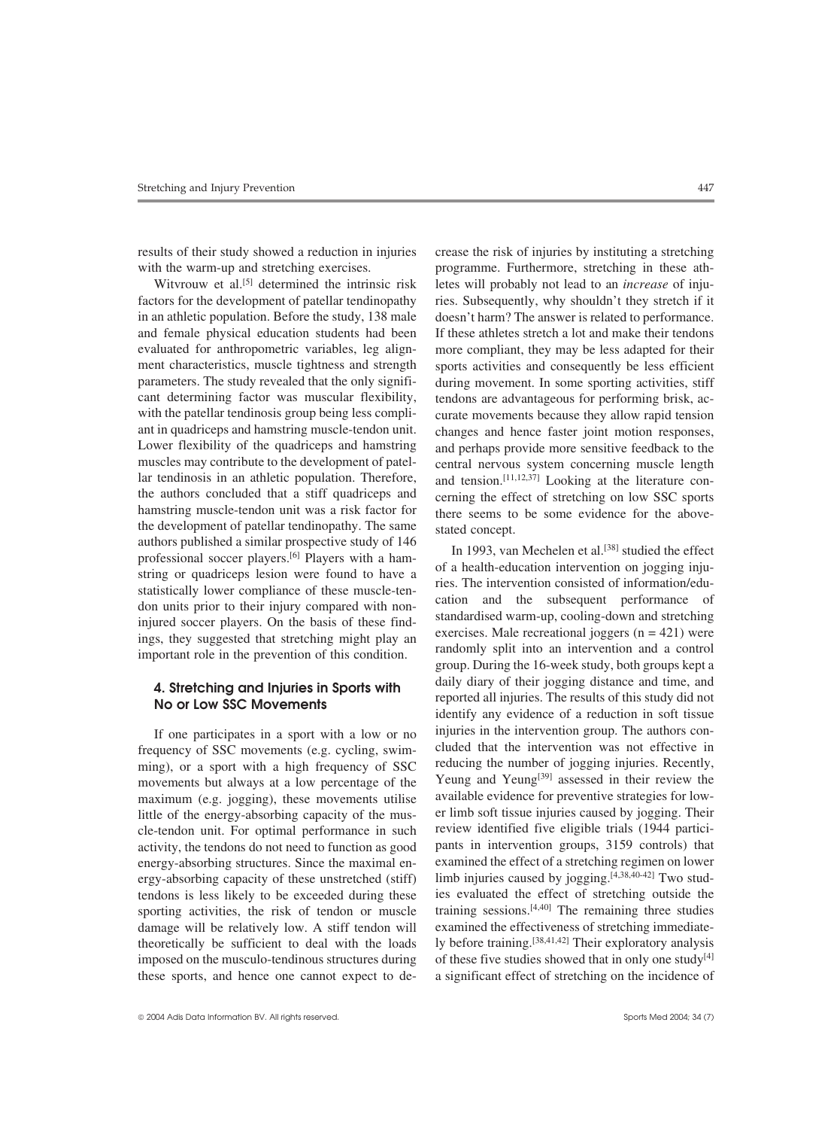cant determining factor was muscular flexibility, tendons are advantageous for performing brisk, acant in quadriceps and hamstring muscle-tendon unit. changes and hence faster joint motion responses,<br>Lower flexibility of the quadriceps and hamstring and perhaps provide more sensitive feedback to the lar tendinosis in an athletic population. Therefore, and tension.<sup>[11,12,37]</sup> Looking at the literature con-<br>the authors concluded that a stiff quadriceps and cerning the effect of stretching on low SSC sports the development of patellar tendinopathy. The same stated concept.<br>authors published a similar prospective study of 146

frequency of SSC movements (e.g. cycling, swim-<br>ming) or a sport with a high frequency of SSC reducing the number of jogging injuries. Recently, ming), or a sport with a high frequency of SSC reducing the number of jogging injuries. Recently,<br>movements but always at a low nercentage of the Yeung and Yeung<sup>[39]</sup> assessed in their review the movements but always at a low percentage of the Yeung and Yeung<sup>[39]</sup> assessed in their review the maximum (e.g. jogging) these movements utilise available evidence for preventive strategies for lowmaximum (e.g. jogging), these movements utilise little of the energy-absorbing capacity of the mus-<br>cle-tendon unit. For ontimal performance in such review identified five eligible trials (1944 particicle-tendon unit. For optimal performance in such review identified five eligible trials (1944 partici-<br>activity, the tendons do not need to function as good pants in intervention groups, 3159 controls) that activity, the tendons do not need to function as good pants in intervention groups, 3159 controls) that energy-absorbing structures. Since the maximal en-<br>examined the effect of a stretching regimen on lower energy-absorbing structures. Since the maximal energy-absorbing capacity of these unstretched (stiff) limb injuries caused by jogging.<sup>[4,38,40-42]</sup> Two studtendons is less likely to be exceeded during these ies evaluated the effect of stretching outside the sporting activities, the risk of tendon or muscle training sessions.<sup>[4,40]</sup> The remaining three studies sporting activities, the risk of tendon or muscle damage will be relatively low. A stiff tendon will examined the effectiveness of stretching immediatetheoretically be sufficient to deal with the loads Iy before training.<sup>[38,41,42]</sup> Their exploratory analysis imposed on the musculo-tendinous structures during of these five studies showed that in only one study<sup>[4]</sup> these sports, and hence one cannot expect to de- a significant effect of stretching on the incidence of

results of their study showed a reduction in injuries crease the risk of injuries by instituting a stretching with the warm-up and stretching exercises. programme. Furthermore, stretching in these ath-Witvrouw et al.<sup>[5]</sup> determined the intrinsic risk letes will probably not lead to an *increase* of injufactors for the development of patellar tendinopathy ries. Subsequently, why shouldn't they stretch if it in an athletic population. Before the study, 138 male doesn't harm? The answer is related to performance. and female physical education students had been If these athletes stretch a lot and make their tendons evaluated for anthropometric variables, leg align- more compliant, they may be less adapted for their ment characteristics, muscle tightness and strength sports activities and consequently be less efficient parameters. The study revealed that the only signifi- during movement. In some sporting activities, stiff with the patellar tendinosis group being less compli-<br>and movements because they allow rapid tension<br>and in quadriceps and hamstring muscle-tendon unit.<br>changes and hence faster joint motion responses Lower flexibility of the quadriceps and hamstring and perhaps provide more sensitive feedback to the muscles may contribute to the development of patel-<br>
central nervous system concerning muscle length muscles may contribute to the development of patel-<br>lar tendinosis in an athletic population. Therefore, and tension.<sup>[11,12,37]</sup> Looking at the literature conthe authors concluded that a stiff quadriceps and cerning the effect of stretching on low SSC sports<br>hamstring muscle-tendon unit was a risk factor for there seems to be some evidence for the abovethere seems to be some evidence for the above-

authors published a similar prospective study of 146<br>professional soccer players.<sup>[6]</sup> Players with a ham-<br>string or quadriceps lesion were found to have a<br>statistically lower compliance of these muscle-ten-<br>don units prio daily diary of their jogging distance and time, and **4. Stretching and Injuries in Sports with** reported all injuries. The results of this study did not **No or Low SSC Movements** identify any evidence of a reduction in soft tissue If one participates in a sport with a low or no injuries in the intervention group. The authors con-<br>quency of SSC movements (e.g. cycling swim-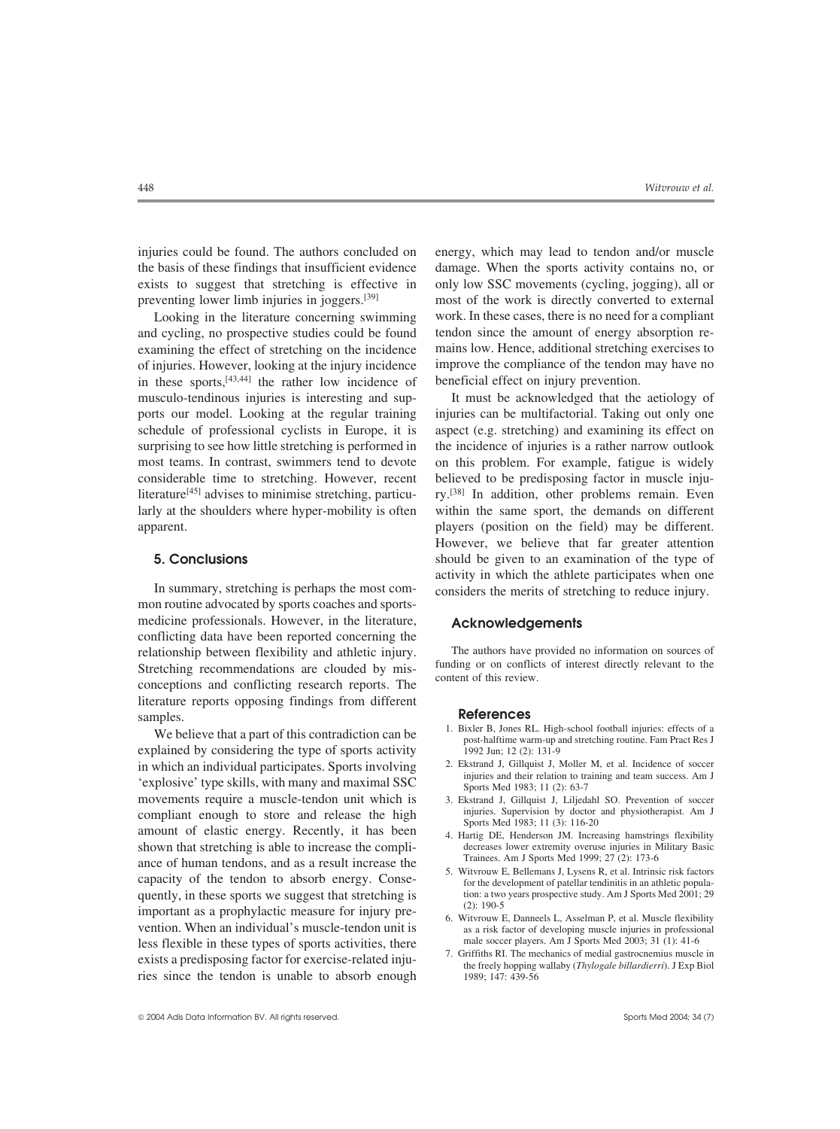in these sports,  $[43, 44]$  the rather low incidence of beneficial effect on injury prevention. musculo-tendinous injuries is interesting and sup- It must be acknowledged that the aetiology of ports our model. Looking at the regular training injuries can be multifactorial. Taking out only one schedule of professional cyclists in Europe, it is aspect (e.g. stretching) and examining its effect on surprising to see how little stretching is performed in the incidence of injuries is a rather narrow outlook most teams. In contrast, swimmers tend to devote on this problem. For example, fatigue is widely considerable time to stretching. However, recent believed to be predisposing factor in muscle injuliterature<sup>[45]</sup> advises to minimise stretching, particu- ry.<sup>[38]</sup> In addition, other problems remain. Even larly at the shoulders where hyper-mobility is often within the same sport, the demands on different apparent. **players** (position on the field) may be different.

mon routine advocated by sports coaches and sportsmedicine professionals. However, in the literature, **Acknowledgements** conflicting data have been reported concerning the The authors have provided no information on sources of<br>Stratching recommendations are clouded by mis<br>funding or on conflicts of interest directly relevant to the Stretching recommendations are clouded by mis-<br>conceptions and conflicting research reports. The content of this review. literature reports opposing findings from different samples.<br>**References**<br>M<sub>c</sub> haliave that a next of this contradiction can be a senior B, Jones RL. High-school football injuries: effects of a

explained by considering the type of sports activity  $\frac{1992 \text{ Jun}}{1992 \text{ Jun}}$ ; 12 (2): 131-9 in which an individual participates. Sports involving<br>
'explosive' type skills, with many and maximal SSC<br>
'explosive' type skills, with many and maximal SSC<br>
Sports Med 1983; 11 (2): 63-7 movements require a muscle-tendon unit which is 3. Ekstrand J, Gillquist J, Liljedahl SO. Prevention of soccer<br>compliant enough to store and release the high injuries. Supervision by doctor and physiotherapist. Am J compliant enough to store and release the high sports Med 1983; 11 (3): 116-20<br>amount of elastic energy. Recently, it has been<br>shown that stretching is able to increase the compli-<br>decreases lower extremity overuse injurie shown that stretching is able to increase the compli-<br> **Shows** the complision of hymnes of hymnes and as a regult increase the Trainees. Am J Sports Med 1999; 27 (2): 173-6 ance of human tendons, and as a result increase the<br>capacity of the tendon to absorb energy. Conse-<br>quently, in these sports we suggest that stretching is<br>discussed by the tendon to absorb energy. Conse-<br>quently, in these quently, in these sports we suggest that stretching is  $\frac{\text{tion: a two}}{(2): 190-5}$ important as a prophylactic measure for injury pre-<br>6. Witvrouw E, Danneels L, Asselman P, et al. Muscle flexibility vention. When an individual's muscle-tendon unit is as a risk factor of developing muscle injuries in professional less flexible in these types of sports activities, there male soccer players. Am J Sports Med 2003; 31 (1): 41-6 exists a predisposing factor for exercise-related inju-<br>ries since the tendon is unable to absorb enough 1989 ries since the tendon is unable to absorb enough

injuries could be found. The authors concluded on energy, which may lead to tendon and/or muscle the basis of these findings that insufficient evidence damage. When the sports activity contains no, or exists to suggest that stretching is effective in only low SSC movements (cycling, jogging), all or preventing lower limb injuries in joggers.<sup>[39]</sup> most of the work is directly converted to external Looking in the literature concerning swimming work. In these cases, there is no need for a compliant and cycling, no prospective studies could be found tendon since the amount of energy absorption reexamining the effect of stretching on the incidence mains low. Hence, additional stretching exercises to of injuries. However, looking at the injury incidence improve the compliance of the tendon may have no

However, we believe that far greater attention **5. Conclusions** should be given to an examination of the type of activity in which the athlete participates when one In summary, stretching is perhaps the most com-<br>considers the merits of stretching to reduce injury.

- We believe that a part of this contradiction can be<br>post-halftime warm-up and stretching routine. Fam Pract Res J
	-
	-
	-
	-
	-
	-